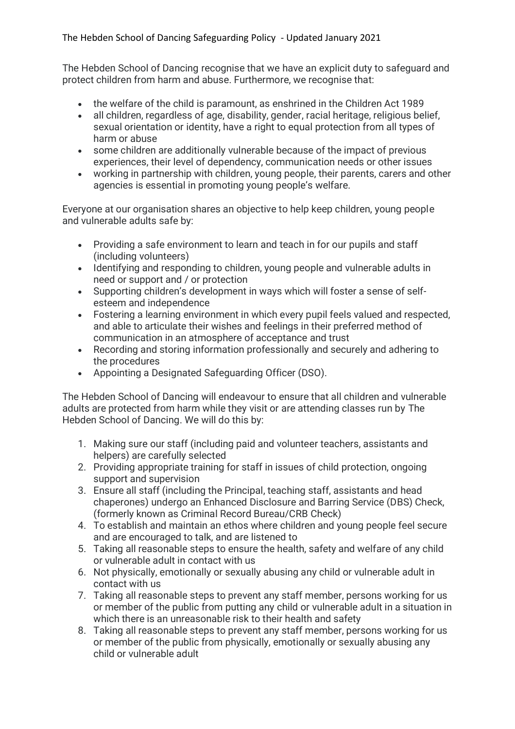The Hebden School of Dancing recognise that we have an explicit duty to safeguard and protect children from harm and abuse. Furthermore, we recognise that:

- the welfare of the child is paramount, as enshrined in the Children Act 1989
- all children, regardless of age, disability, gender, racial heritage, religious belief, sexual orientation or identity, have a right to equal protection from all types of harm or abuse
- some children are additionally vulnerable because of the impact of previous experiences, their level of dependency, communication needs or other issues
- working in partnership with children, young people, their parents, carers and other agencies is essential in promoting young people's welfare.

Everyone at our organisation shares an objective to help keep children, young people and vulnerable adults safe by:

- Providing a safe environment to learn and teach in for our pupils and staff (including volunteers)
- Identifying and responding to children, young people and vulnerable adults in need or support and / or protection
- Supporting children's development in ways which will foster a sense of selfesteem and independence
- Fostering a learning environment in which every pupil feels valued and respected, and able to articulate their wishes and feelings in their preferred method of communication in an atmosphere of acceptance and trust
- Recording and storing information professionally and securely and adhering to the procedures
- Appointing a Designated Safeguarding Officer (DSO).

The Hebden School of Dancing will endeavour to ensure that all children and vulnerable adults are protected from harm while they visit or are attending classes run by The Hebden School of Dancing. We will do this by:

- 1. Making sure our staff (including paid and volunteer teachers, assistants and helpers) are carefully selected
- 2. Providing appropriate training for staff in issues of child protection, ongoing support and supervision
- 3. Ensure all staff (including the Principal, teaching staff, assistants and head chaperones) undergo an Enhanced Disclosure and Barring Service (DBS) Check, (formerly known as Criminal Record Bureau/CRB Check)
- 4. To establish and maintain an ethos where children and young people feel secure and are encouraged to talk, and are listened to
- 5. Taking all reasonable steps to ensure the health, safety and welfare of any child or vulnerable adult in contact with us
- 6. Not physically, emotionally or sexually abusing any child or vulnerable adult in contact with us
- 7. Taking all reasonable steps to prevent any staff member, persons working for us or member of the public from putting any child or vulnerable adult in a situation in which there is an unreasonable risk to their health and safety
- 8. Taking all reasonable steps to prevent any staff member, persons working for us or member of the public from physically, emotionally or sexually abusing any child or vulnerable adult